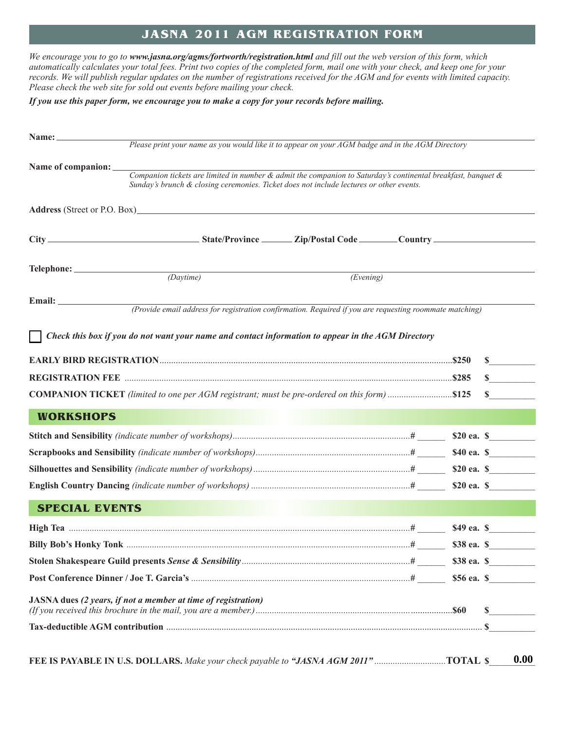## **JASNA 2011 AGM REGISTRATION FORM**

We encourage you to go to www.jasna.org/agms/fortworth/registration.html and fill out the web version of this form, which automatically calculates your total fees. Print two copies of the completed form, mail one with your check, and keep one for your records. We will publish regular updates on the number of registrations received for the AGM and for events with limited capacity. *Please check the web site for sold out events before mailing your check.*

*If you use this paper form, we encourage you to make a copy for your records before mailing.*

|                       | Please print your name as you would like it to appear on your AGM badge and in the AGM Directory                                                                                                        |           |  |  |        |
|-----------------------|---------------------------------------------------------------------------------------------------------------------------------------------------------------------------------------------------------|-----------|--|--|--------|
| Name of companion:    |                                                                                                                                                                                                         |           |  |  |        |
|                       | Companion tickets are limited in number & admit the companion to Saturday's continental breakfast, banquet &<br>Sunday's brunch & closing ceremonies. Ticket does not include lectures or other events. |           |  |  |        |
|                       |                                                                                                                                                                                                         |           |  |  |        |
|                       | Address (Street or P.O. Box)                                                                                                                                                                            |           |  |  |        |
|                       |                                                                                                                                                                                                         |           |  |  |        |
|                       |                                                                                                                                                                                                         |           |  |  |        |
|                       |                                                                                                                                                                                                         |           |  |  |        |
|                       | (Daytime)                                                                                                                                                                                               | (Evening) |  |  |        |
|                       |                                                                                                                                                                                                         |           |  |  |        |
|                       | (Provide email address for registration confirmation. Required if you are requesting roommate matching)                                                                                                 |           |  |  |        |
|                       | Check this box if you do not want your name and contact information to appear in the AGM Directory                                                                                                      |           |  |  |        |
|                       |                                                                                                                                                                                                         |           |  |  |        |
|                       |                                                                                                                                                                                                         |           |  |  | $\sim$ |
|                       |                                                                                                                                                                                                         |           |  |  | $\sim$ |
|                       | <b>COMPANION TICKET</b> (limited to one per AGM registrant; must be pre-ordered on this form) \$125                                                                                                     |           |  |  | $\sim$ |
| <b>WORKSHOPS</b>      |                                                                                                                                                                                                         |           |  |  |        |
|                       |                                                                                                                                                                                                         |           |  |  |        |
|                       |                                                                                                                                                                                                         |           |  |  |        |
|                       |                                                                                                                                                                                                         |           |  |  |        |
|                       |                                                                                                                                                                                                         |           |  |  |        |
|                       |                                                                                                                                                                                                         |           |  |  |        |
|                       |                                                                                                                                                                                                         |           |  |  |        |
| <b>SPECIAL EVENTS</b> |                                                                                                                                                                                                         |           |  |  |        |
|                       |                                                                                                                                                                                                         |           |  |  |        |
|                       |                                                                                                                                                                                                         |           |  |  |        |
|                       |                                                                                                                                                                                                         |           |  |  |        |
|                       |                                                                                                                                                                                                         |           |  |  |        |
|                       | JASNA dues (2 years, if not a member at time of registration)                                                                                                                                           |           |  |  |        |
|                       |                                                                                                                                                                                                         |           |  |  | \$     |

FEE IS PAYABLE IN U.S. DOLLARS. Make your check payable to "JASNA AGM 2011"..............................TOTAL \$ 0.00